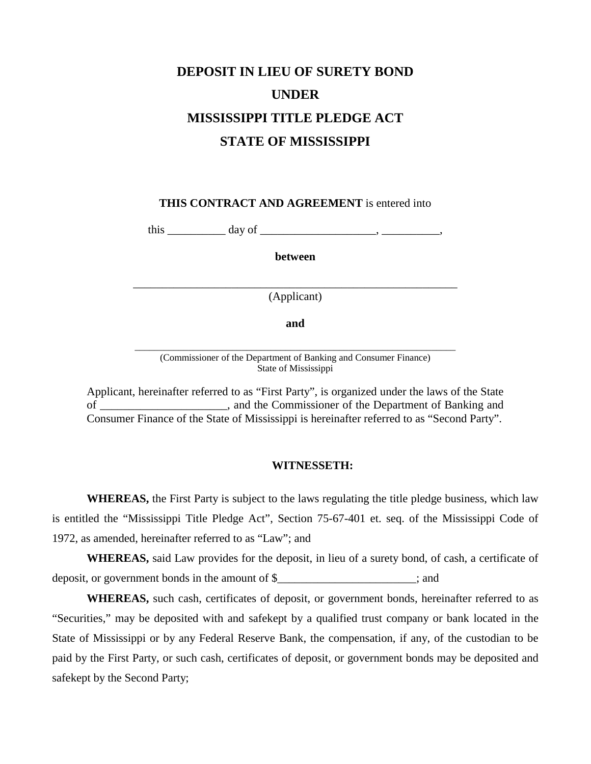## **DEPOSIT IN LIEU OF SURETY BOND UNDER MISSISSIPPI TITLE PLEDGE ACT STATE OF MISSISSIPPI**

**THIS CONTRACT AND AGREEMENT** is entered into

this  $\frac{day \text{ of } \dots}{y}$ 

**between** 

\_\_\_\_\_\_\_\_\_\_\_\_\_\_\_\_\_\_\_\_\_\_\_\_\_\_\_\_\_\_\_\_\_\_\_\_\_\_\_\_\_\_\_\_\_\_\_\_\_\_\_\_\_\_\_\_ (Applicant)

**and** 

\_\_\_\_\_\_\_\_\_\_\_\_\_\_\_\_\_\_\_\_\_\_\_\_\_\_\_\_\_\_\_\_\_\_\_\_\_\_\_\_\_\_\_\_\_\_\_\_\_\_\_\_\_\_\_\_\_\_\_\_\_\_\_\_\_\_ (Commissioner of the Department of Banking and Consumer Finance) State of Mississippi

Applicant, hereinafter referred to as "First Party", is organized under the laws of the State of \_\_\_\_\_\_\_\_\_\_\_\_\_\_\_\_\_\_\_\_\_\_, and the Commissioner of the Department of Banking and Consumer Finance of the State of Mississippi is hereinafter referred to as "Second Party".

## **WITNESSETH:**

**WHEREAS,** the First Party is subject to the laws regulating the title pledge business, which law is entitled the "Mississippi Title Pledge Act", Section 75-67-401 et. seq. of the Mississippi Code of 1972, as amended, hereinafter referred to as "Law"; and

**WHEREAS,** said Law provides for the deposit, in lieu of a surety bond, of cash, a certificate of deposit, or government bonds in the amount of \$\_\_\_\_\_\_\_\_\_\_\_\_\_\_\_\_\_\_\_\_\_\_\_\_; and

**WHEREAS,** such cash, certificates of deposit, or government bonds, hereinafter referred to as "Securities," may be deposited with and safekept by a qualified trust company or bank located in the State of Mississippi or by any Federal Reserve Bank, the compensation, if any, of the custodian to be paid by the First Party, or such cash, certificates of deposit, or government bonds may be deposited and safekept by the Second Party;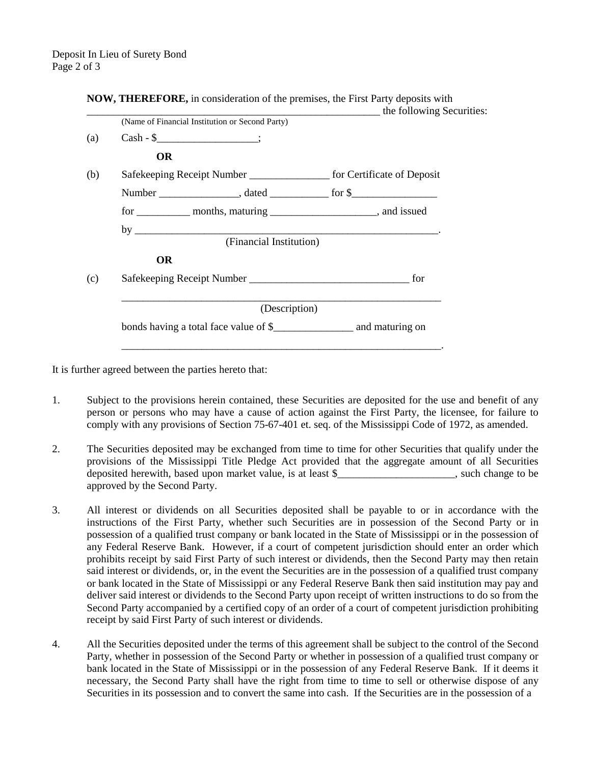|                                                                            |                                                 | the following Securities:                                               |
|----------------------------------------------------------------------------|-------------------------------------------------|-------------------------------------------------------------------------|
|                                                                            | (Name of Financial Institution or Second Party) |                                                                         |
|                                                                            | $Cash - $$ ;                                    |                                                                         |
| <b>OR</b>                                                                  |                                                 |                                                                         |
| Safekeeping Receipt Number ____________________ for Certificate of Deposit |                                                 |                                                                         |
|                                                                            |                                                 |                                                                         |
|                                                                            |                                                 | for _____________ months, maturing ________________________, and issued |
|                                                                            |                                                 | by $\overline{\phantom{a}}$                                             |
|                                                                            | (Financial Institution)                         |                                                                         |
| <b>OR</b>                                                                  |                                                 |                                                                         |
|                                                                            |                                                 |                                                                         |
|                                                                            | (Description)                                   |                                                                         |
| bonds having a total face value of \$                                      |                                                 |                                                                         |

**NOW, THEREFORE,** in consideration of the premises, the First Party deposits with

It is further agreed between the parties hereto that:

- 1. Subject to the provisions herein contained, these Securities are deposited for the use and benefit of any person or persons who may have a cause of action against the First Party, the licensee, for failure to comply with any provisions of Section 75-67-401 et. seq. of the Mississippi Code of 1972, as amended.
- 2. The Securities deposited may be exchanged from time to time for other Securities that qualify under the provisions of the Mississippi Title Pledge Act provided that the aggregate amount of all Securities deposited herewith, based upon market value, is at least \$\_\_\_\_\_\_\_\_\_\_\_\_\_\_\_\_\_\_\_\_\_\_, such change to be approved by the Second Party.
- 3. All interest or dividends on all Securities deposited shall be payable to or in accordance with the instructions of the First Party, whether such Securities are in possession of the Second Party or in possession of a qualified trust company or bank located in the State of Mississippi or in the possession of any Federal Reserve Bank. However, if a court of competent jurisdiction should enter an order which prohibits receipt by said First Party of such interest or dividends, then the Second Party may then retain said interest or dividends, or, in the event the Securities are in the possession of a qualified trust company or bank located in the State of Mississippi or any Federal Reserve Bank then said institution may pay and deliver said interest or dividends to the Second Party upon receipt of written instructions to do so from the Second Party accompanied by a certified copy of an order of a court of competent jurisdiction prohibiting receipt by said First Party of such interest or dividends.
- 4. All the Securities deposited under the terms of this agreement shall be subject to the control of the Second Party, whether in possession of the Second Party or whether in possession of a qualified trust company or bank located in the State of Mississippi or in the possession of any Federal Reserve Bank. If it deems it necessary, the Second Party shall have the right from time to time to sell or otherwise dispose of any Securities in its possession and to convert the same into cash. If the Securities are in the possession of a